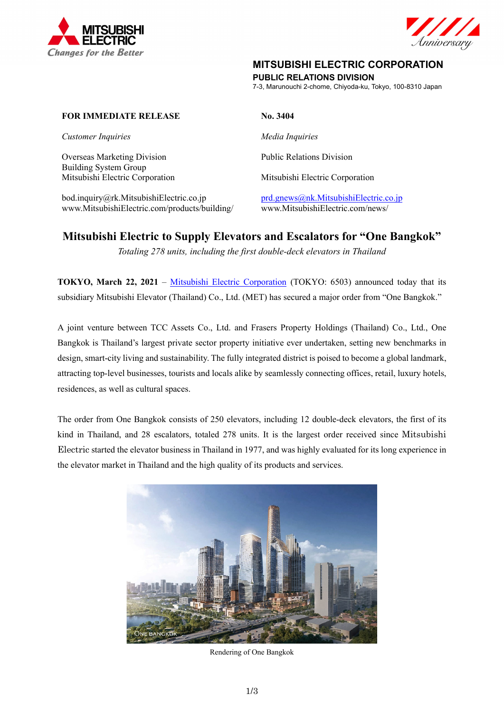



# **MITSUBISHI ELECTRIC CORPORATION**

**PUBLIC RELATIONS DIVISION** 

7-3, Marunouchi 2-chome, Chiyoda-ku, Tokyo, 100-8310 Japan

# **FOR IMMEDIATE RELEASE No. 3404**

*Customer Inquiries* Media Inquiries **Media Inquiries** 

Overseas Marketing Division Building System Group Mitsubishi Electric Corporation Mitsubishi Electric Corporation

bod.inquiry@rk.MitsubishiElectric.co.jp prd.gnews@nk.MitsubishiElectric.co.jp www.MitsubishiElectric.com/products/building/ www.MitsubishiElectric.com/news/

Public Relations Division

# **Mitsubishi Electric to Supply Elevators and Escalators for "One Bangkok"**

*Totaling 278 units, including the first double-deck elevators in Thailand* 

**TOKYO, March 22, 2021** – Mitsubishi Electric Corporation (TOKYO: 6503) announced today that its subsidiary Mitsubishi Elevator (Thailand) Co., Ltd. (MET) has secured a major order from "One Bangkok."

A joint venture between TCC Assets Co., Ltd. and Frasers Property Holdings (Thailand) Co., Ltd., One Bangkok is Thailand's largest private sector property initiative ever undertaken, setting new benchmarks in design, smart-city living and sustainability. The fully integrated district is poised to become a global landmark, attracting top-level businesses, tourists and locals alike by seamlessly connecting offices, retail, luxury hotels, residences, as well as cultural spaces.

The order from One Bangkok consists of 250 elevators, including 12 double-deck elevators, the first of its kind in Thailand, and 28 escalators, totaled 278 units. It is the largest order received since Mitsubishi Electric started the elevator business in Thailand in 1977, and was highly evaluated for its long experience in the elevator market in Thailand and the high quality of its products and services.



Rendering of One Bangkok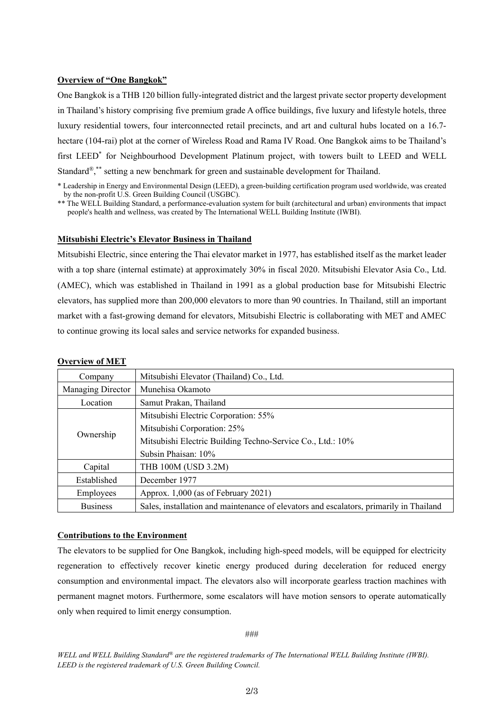#### **Overview of "One Bangkok"**

One Bangkok is a THB 120 billion fully-integrated district and the largest private sector property development in Thailand's history comprising five premium grade A office buildings, five luxury and lifestyle hotels, three luxury residential towers, four interconnected retail precincts, and art and cultural hubs located on a 16.7 hectare (104-rai) plot at the corner of Wireless Road and Rama IV Road. One Bangkok aims to be Thailand's first LEED<sup>\*</sup> for Neighbourhood Development Platinum project, with towers built to LEED and WELL Standard $^{\circledR},^*$  setting a new benchmark for green and sustainable development for Thailand.

\*\* The WELL Building Standard, a performance-evaluation system for built (architectural and urban) environments that impact people's health and wellness, was created by The International WELL Building Institute (IWBI).

#### **Mitsubishi Electric's Elevator Business in Thailand**

Mitsubishi Electric, since entering the Thai elevator market in 1977, has established itself as the market leader with a top share (internal estimate) at approximately 30% in fiscal 2020. Mitsubishi Elevator Asia Co., Ltd. (AMEC), which was established in Thailand in 1991 as a global production base for Mitsubishi Electric elevators, has supplied more than 200,000 elevators to more than 90 countries. In Thailand, still an important market with a fast-growing demand for elevators, Mitsubishi Electric is collaborating with MET and AMEC to continue growing its local sales and service networks for expanded business.

| Company           | Mitsubishi Elevator (Thailand) Co., Ltd.                                               |
|-------------------|----------------------------------------------------------------------------------------|
| Managing Director | Munehisa Okamoto                                                                       |
| Location          | Samut Prakan, Thailand                                                                 |
| Ownership         | Mitsubishi Electric Corporation: 55%                                                   |
|                   | Mitsubishi Corporation: 25%                                                            |
|                   | Mitsubishi Electric Building Techno-Service Co., Ltd.: 10%                             |
|                   | Subsin Phaisan: 10%                                                                    |
| Capital           | THB 100M (USD 3.2M)                                                                    |
| Established       | December 1977                                                                          |
| Employees         | Approx. 1,000 (as of February 2021)                                                    |
| <b>Business</b>   | Sales, installation and maintenance of elevators and escalators, primarily in Thailand |

### **Overview of MET**

## **Contributions to the Environment**

The elevators to be supplied for One Bangkok, including high-speed models, will be equipped for electricity regeneration to effectively recover kinetic energy produced during deceleration for reduced energy consumption and environmental impact. The elevators also will incorporate gearless traction machines with permanent magnet motors. Furthermore, some escalators will have motion sensors to operate automatically only when required to limit energy consumption.

###

*WELL and WELL Building Standard® are the registered trademarks of The International WELL Building Institute (IWBI). LEED is the registered trademark of U.S. Green Building Council.* 

<sup>\*</sup> Leadership in Energy and Environmental Design (LEED), a green-building certification program used worldwide, was created by the non-profit U.S. Green Building Council (USGBC).